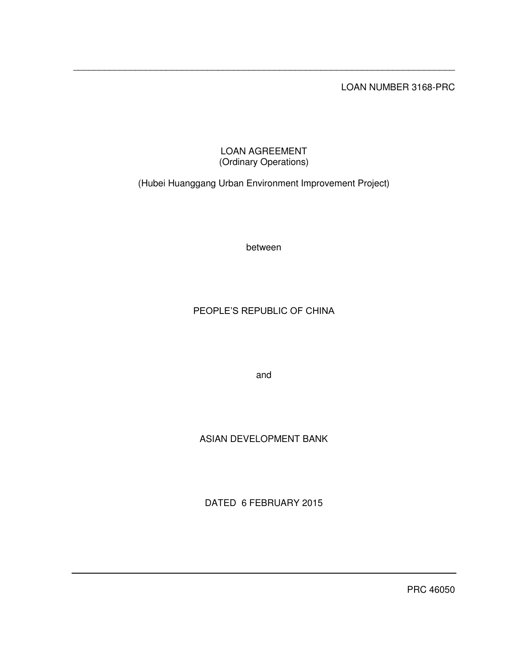LOAN NUMBER 3168-PRC

# LOAN AGREEMENT (Ordinary Operations)

\_\_\_\_\_\_\_\_\_\_\_\_\_\_\_\_\_\_\_\_\_\_\_\_\_\_\_\_\_\_\_\_\_\_\_\_\_\_\_\_\_\_\_\_\_\_\_\_\_\_\_\_\_\_\_\_\_\_\_\_\_\_\_\_\_\_\_\_\_\_\_\_\_\_

(Hubei Huanggang Urban Environment Improvement Project)

between

# PEOPLE'S REPUBLIC OF CHINA

and

# ASIAN DEVELOPMENT BANK

DATED 6 FEBRUARY 2015

PRC 46050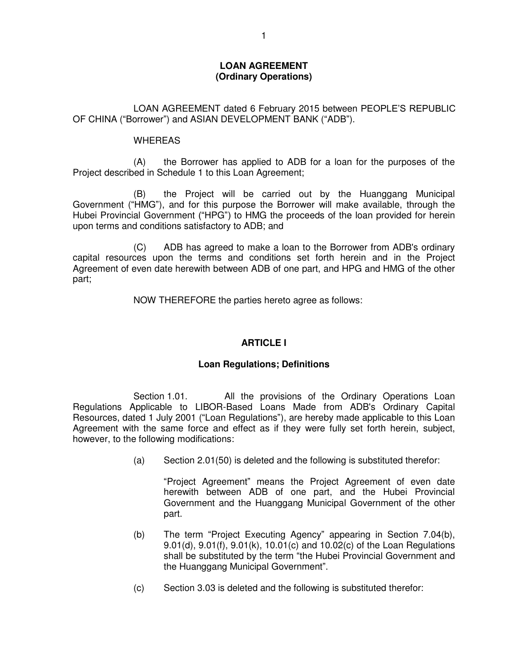## **LOAN AGREEMENT (Ordinary Operations)**

 LOAN AGREEMENT dated 6 February 2015 between PEOPLE'S REPUBLIC OF CHINA ("Borrower") and ASIAN DEVELOPMENT BANK ("ADB").

#### WHEREAS

 (A) the Borrower has applied to ADB for a loan for the purposes of the Project described in Schedule 1 to this Loan Agreement;

(B) the Project will be carried out by the Huanggang Municipal Government ("HMG"), and for this purpose the Borrower will make available, through the Hubei Provincial Government ("HPG") to HMG the proceeds of the loan provided for herein upon terms and conditions satisfactory to ADB; and

 (C) ADB has agreed to make a loan to the Borrower from ADB's ordinary capital resources upon the terms and conditions set forth herein and in the Project Agreement of even date herewith between ADB of one part, and HPG and HMG of the other part;

NOW THEREFORE the parties hereto agree as follows:

# **ARTICLE I**

## **Loan Regulations; Definitions**

Section 1.01. All the provisions of the Ordinary Operations Loan Regulations Applicable to LIBOR-Based Loans Made from ADB's Ordinary Capital Resources, dated 1 July 2001 ("Loan Regulations"), are hereby made applicable to this Loan Agreement with the same force and effect as if they were fully set forth herein, subject, however, to the following modifications:

(a) Section 2.01(50) is deleted and the following is substituted therefor:

"Project Agreement" means the Project Agreement of even date herewith between ADB of one part, and the Hubei Provincial Government and the Huanggang Municipal Government of the other part.

- (b) The term "Project Executing Agency" appearing in Section 7.04(b), 9.01(d), 9.01(f), 9.01(k), 10.01(c) and 10.02(c) of the Loan Regulations shall be substituted by the term "the Hubei Provincial Government and the Huanggang Municipal Government".
- (c) Section 3.03 is deleted and the following is substituted therefor: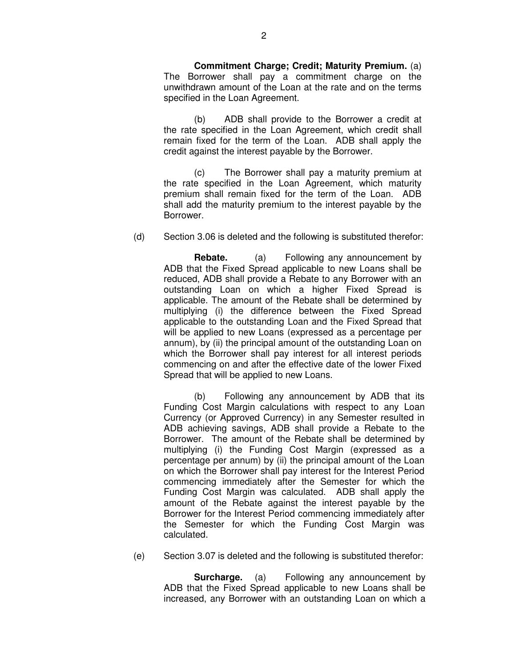**Commitment Charge; Credit; Maturity Premium.** (a) The Borrower shall pay a commitment charge on the unwithdrawn amount of the Loan at the rate and on the terms specified in the Loan Agreement.

(b) ADB shall provide to the Borrower a credit at the rate specified in the Loan Agreement, which credit shall remain fixed for the term of the Loan. ADB shall apply the credit against the interest payable by the Borrower.

(c) The Borrower shall pay a maturity premium at the rate specified in the Loan Agreement, which maturity premium shall remain fixed for the term of the Loan. ADB shall add the maturity premium to the interest payable by the Borrower.

(d) Section 3.06 is deleted and the following is substituted therefor:

 **Rebate.** (a) Following any announcement by ADB that the Fixed Spread applicable to new Loans shall be reduced, ADB shall provide a Rebate to any Borrower with an outstanding Loan on which a higher Fixed Spread is applicable. The amount of the Rebate shall be determined by multiplying (i) the difference between the Fixed Spread applicable to the outstanding Loan and the Fixed Spread that will be applied to new Loans (expressed as a percentage per annum), by (ii) the principal amount of the outstanding Loan on which the Borrower shall pay interest for all interest periods commencing on and after the effective date of the lower Fixed Spread that will be applied to new Loans.

(b) Following any announcement by ADB that its Funding Cost Margin calculations with respect to any Loan Currency (or Approved Currency) in any Semester resulted in ADB achieving savings, ADB shall provide a Rebate to the Borrower. The amount of the Rebate shall be determined by multiplying (i) the Funding Cost Margin (expressed as a percentage per annum) by (ii) the principal amount of the Loan on which the Borrower shall pay interest for the Interest Period commencing immediately after the Semester for which the Funding Cost Margin was calculated. ADB shall apply the amount of the Rebate against the interest payable by the Borrower for the Interest Period commencing immediately after the Semester for which the Funding Cost Margin was calculated.

(e) Section 3.07 is deleted and the following is substituted therefor:

**Surcharge.** (a) Following any announcement by ADB that the Fixed Spread applicable to new Loans shall be increased, any Borrower with an outstanding Loan on which a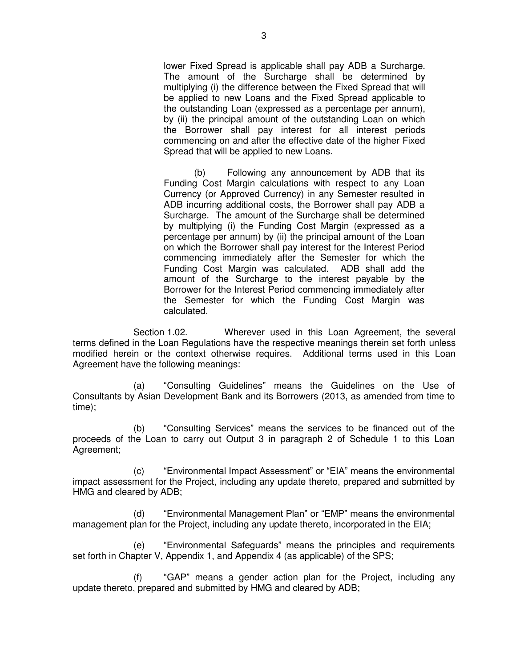lower Fixed Spread is applicable shall pay ADB a Surcharge. The amount of the Surcharge shall be determined by multiplying (i) the difference between the Fixed Spread that will be applied to new Loans and the Fixed Spread applicable to the outstanding Loan (expressed as a percentage per annum), by (ii) the principal amount of the outstanding Loan on which the Borrower shall pay interest for all interest periods commencing on and after the effective date of the higher Fixed Spread that will be applied to new Loans.

(b) Following any announcement by ADB that its Funding Cost Margin calculations with respect to any Loan Currency (or Approved Currency) in any Semester resulted in ADB incurring additional costs, the Borrower shall pay ADB a Surcharge. The amount of the Surcharge shall be determined by multiplying (i) the Funding Cost Margin (expressed as a percentage per annum) by (ii) the principal amount of the Loan on which the Borrower shall pay interest for the Interest Period commencing immediately after the Semester for which the Funding Cost Margin was calculated. ADB shall add the amount of the Surcharge to the interest payable by the Borrower for the Interest Period commencing immediately after the Semester for which the Funding Cost Margin was calculated.

 Section 1.02. Wherever used in this Loan Agreement, the several terms defined in the Loan Regulations have the respective meanings therein set forth unless modified herein or the context otherwise requires. Additional terms used in this Loan Agreement have the following meanings:

(a) "Consulting Guidelines" means the Guidelines on the Use of Consultants by Asian Development Bank and its Borrowers (2013, as amended from time to time);

(b) "Consulting Services" means the services to be financed out of the proceeds of the Loan to carry out Output 3 in paragraph 2 of Schedule 1 to this Loan Agreement;

(c) "Environmental Impact Assessment" or "EIA" means the environmental impact assessment for the Project, including any update thereto, prepared and submitted by HMG and cleared by ADB;

(d) "Environmental Management Plan" or "EMP" means the environmental management plan for the Project, including any update thereto, incorporated in the EIA;

(e) "Environmental Safeguards" means the principles and requirements set forth in Chapter V, Appendix 1, and Appendix 4 (as applicable) of the SPS;

(f) "GAP" means a gender action plan for the Project, including any update thereto, prepared and submitted by HMG and cleared by ADB;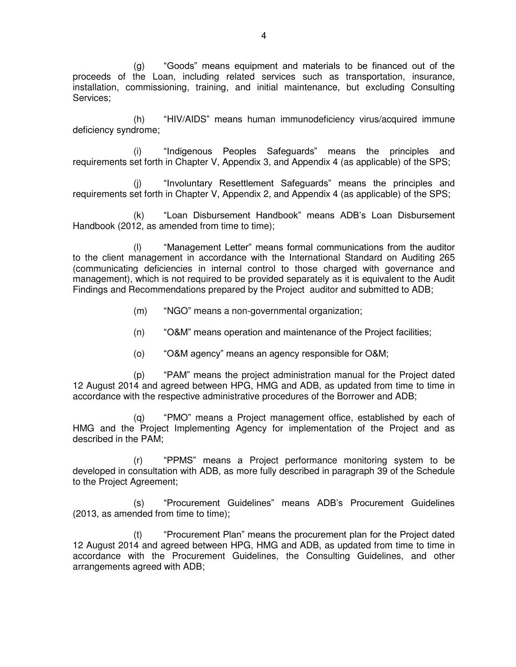(g) "Goods" means equipment and materials to be financed out of the proceeds of the Loan, including related services such as transportation, insurance, installation, commissioning, training, and initial maintenance, but excluding Consulting Services;

(h) "HIV/AIDS" means human immunodeficiency virus/acquired immune deficiency syndrome;

(i) "Indigenous Peoples Safeguards" means the principles and requirements set forth in Chapter V, Appendix 3, and Appendix 4 (as applicable) of the SPS;

(j) "Involuntary Resettlement Safeguards" means the principles and requirements set forth in Chapter V, Appendix 2, and Appendix 4 (as applicable) of the SPS;

(k) "Loan Disbursement Handbook" means ADB's Loan Disbursement Handbook (2012, as amended from time to time);

(l) "Management Letter" means formal communications from the auditor to the client management in accordance with the International Standard on Auditing 265 (communicating deficiencies in internal control to those charged with governance and management), which is not required to be provided separately as it is equivalent to the Audit Findings and Recommendations prepared by the Project auditor and submitted to ADB;

- (m) "NGO" means a non-governmental organization;
- (n) "O&M" means operation and maintenance of the Project facilities;
- (o) "O&M agency" means an agency responsible for O&M;

(p) "PAM" means the project administration manual for the Project dated 12 August 2014 and agreed between HPG, HMG and ADB, as updated from time to time in accordance with the respective administrative procedures of the Borrower and ADB;

(q) "PMO" means a Project management office, established by each of HMG and the Project Implementing Agency for implementation of the Project and as described in the PAM;

(r) "PPMS" means a Project performance monitoring system to be developed in consultation with ADB, as more fully described in paragraph 39 of the Schedule to the Project Agreement;

(s) "Procurement Guidelines" means ADB's Procurement Guidelines (2013, as amended from time to time);

(t) "Procurement Plan" means the procurement plan for the Project dated 12 August 2014 and agreed between HPG, HMG and ADB, as updated from time to time in accordance with the Procurement Guidelines, the Consulting Guidelines, and other arrangements agreed with ADB;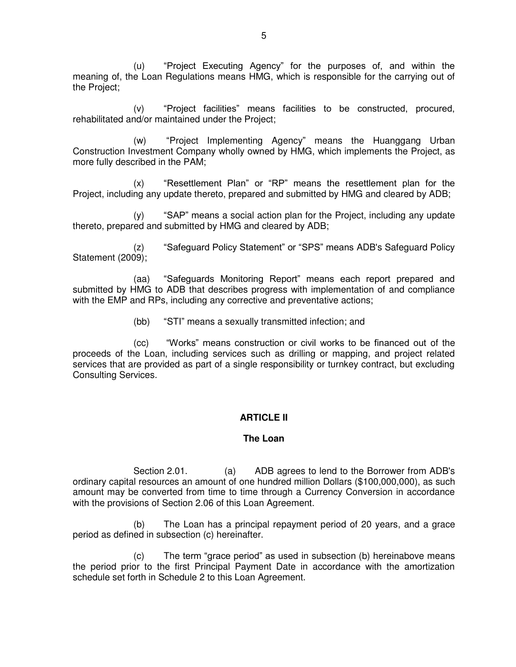(u) "Project Executing Agency" for the purposes of, and within the meaning of, the Loan Regulations means HMG, which is responsible for the carrying out of the Project;

(v) "Project facilities" means facilities to be constructed, procured, rehabilitated and/or maintained under the Project;

(w) "Project Implementing Agency" means the Huanggang Urban Construction Investment Company wholly owned by HMG, which implements the Project, as more fully described in the PAM;

(x) "Resettlement Plan" or "RP" means the resettlement plan for the Project, including any update thereto, prepared and submitted by HMG and cleared by ADB;

(y) "SAP" means a social action plan for the Project, including any update thereto, prepared and submitted by HMG and cleared by ADB;

(z) "Safeguard Policy Statement" or "SPS" means ADB's Safeguard Policy Statement (2009);

(aa) "Safeguards Monitoring Report" means each report prepared and submitted by HMG to ADB that describes progress with implementation of and compliance with the EMP and RPs, including any corrective and preventative actions;

(bb) "STI" means a sexually transmitted infection; and

(cc) "Works" means construction or civil works to be financed out of the proceeds of the Loan, including services such as drilling or mapping, and project related services that are provided as part of a single responsibility or turnkey contract, but excluding Consulting Services.

# **ARTICLE II**

## **The Loan**

 Section 2.01. (a) ADB agrees to lend to the Borrower from ADB's ordinary capital resources an amount of one hundred million Dollars (\$100,000,000), as such amount may be converted from time to time through a Currency Conversion in accordance with the provisions of Section 2.06 of this Loan Agreement.

(b) The Loan has a principal repayment period of 20 years, and a grace period as defined in subsection (c) hereinafter.

(c) The term "grace period" as used in subsection (b) hereinabove means the period prior to the first Principal Payment Date in accordance with the amortization schedule set forth in Schedule 2 to this Loan Agreement.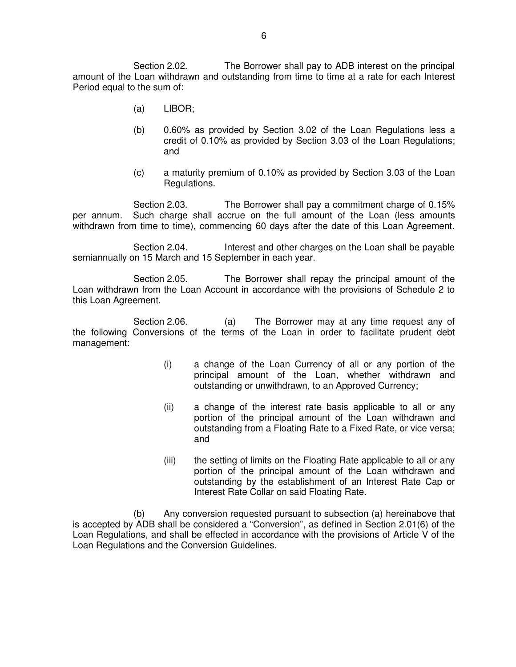Section 2.02. The Borrower shall pay to ADB interest on the principal amount of the Loan withdrawn and outstanding from time to time at a rate for each Interest Period equal to the sum of:

- (a) LIBOR;
- (b) 0.60% as provided by Section 3.02 of the Loan Regulations less a credit of 0.10% as provided by Section 3.03 of the Loan Regulations; and
- (c) a maturity premium of 0.10% as provided by Section 3.03 of the Loan Regulations.

 Section 2.03. The Borrower shall pay a commitment charge of 0.15% per annum. Such charge shall accrue on the full amount of the Loan (less amounts withdrawn from time to time), commencing 60 days after the date of this Loan Agreement.

 Section 2.04. Interest and other charges on the Loan shall be payable semiannually on 15 March and 15 September in each year.

 Section 2.05. The Borrower shall repay the principal amount of the Loan withdrawn from the Loan Account in accordance with the provisions of Schedule 2 to this Loan Agreement.

Section 2.06. (a) The Borrower may at any time request any of the following Conversions of the terms of the Loan in order to facilitate prudent debt management:

- (i) a change of the Loan Currency of all or any portion of the principal amount of the Loan, whether withdrawn and outstanding or unwithdrawn, to an Approved Currency;
- (ii) a change of the interest rate basis applicable to all or any portion of the principal amount of the Loan withdrawn and outstanding from a Floating Rate to a Fixed Rate, or vice versa; and
- (iii) the setting of limits on the Floating Rate applicable to all or any portion of the principal amount of the Loan withdrawn and outstanding by the establishment of an Interest Rate Cap or Interest Rate Collar on said Floating Rate.

(b) Any conversion requested pursuant to subsection (a) hereinabove that is accepted by ADB shall be considered a "Conversion", as defined in Section 2.01(6) of the Loan Regulations, and shall be effected in accordance with the provisions of Article V of the Loan Regulations and the Conversion Guidelines.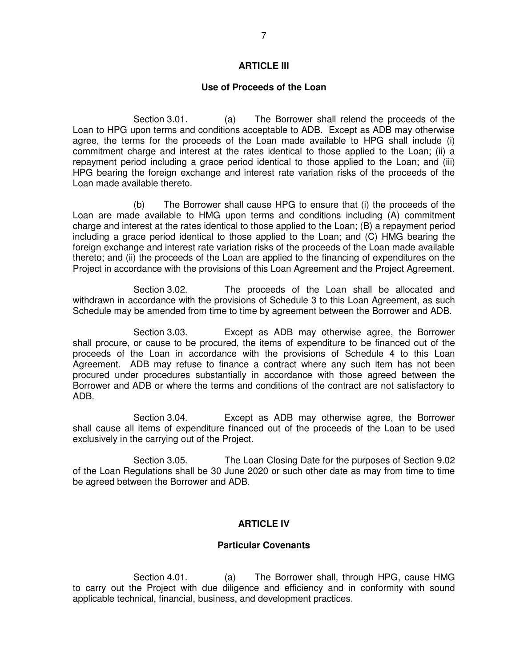## **ARTICLE III**

#### **Use of Proceeds of the Loan**

 Section 3.01. (a) The Borrower shall relend the proceeds of the Loan to HPG upon terms and conditions acceptable to ADB. Except as ADB may otherwise agree, the terms for the proceeds of the Loan made available to HPG shall include (i) commitment charge and interest at the rates identical to those applied to the Loan; (ii) a repayment period including a grace period identical to those applied to the Loan; and (iii) HPG bearing the foreign exchange and interest rate variation risks of the proceeds of the Loan made available thereto.

(b) The Borrower shall cause HPG to ensure that (i) the proceeds of the Loan are made available to HMG upon terms and conditions including (A) commitment charge and interest at the rates identical to those applied to the Loan; (B) a repayment period including a grace period identical to those applied to the Loan; and (C) HMG bearing the foreign exchange and interest rate variation risks of the proceeds of the Loan made available thereto; and (ii) the proceeds of the Loan are applied to the financing of expenditures on the Project in accordance with the provisions of this Loan Agreement and the Project Agreement.

 Section 3.02. The proceeds of the Loan shall be allocated and withdrawn in accordance with the provisions of Schedule 3 to this Loan Agreement, as such Schedule may be amended from time to time by agreement between the Borrower and ADB.

 Section 3.03. Except as ADB may otherwise agree, the Borrower shall procure, or cause to be procured, the items of expenditure to be financed out of the proceeds of the Loan in accordance with the provisions of Schedule 4 to this Loan Agreement. ADB may refuse to finance a contract where any such item has not been procured under procedures substantially in accordance with those agreed between the Borrower and ADB or where the terms and conditions of the contract are not satisfactory to ADB.

 Section 3.04. Except as ADB may otherwise agree, the Borrower shall cause all items of expenditure financed out of the proceeds of the Loan to be used exclusively in the carrying out of the Project.

 Section 3.05. The Loan Closing Date for the purposes of Section 9.02 of the Loan Regulations shall be 30 June 2020 or such other date as may from time to time be agreed between the Borrower and ADB.

## **ARTICLE IV**

#### **Particular Covenants**

Section 4.01. (a) The Borrower shall, through HPG, cause HMG to carry out the Project with due diligence and efficiency and in conformity with sound applicable technical, financial, business, and development practices.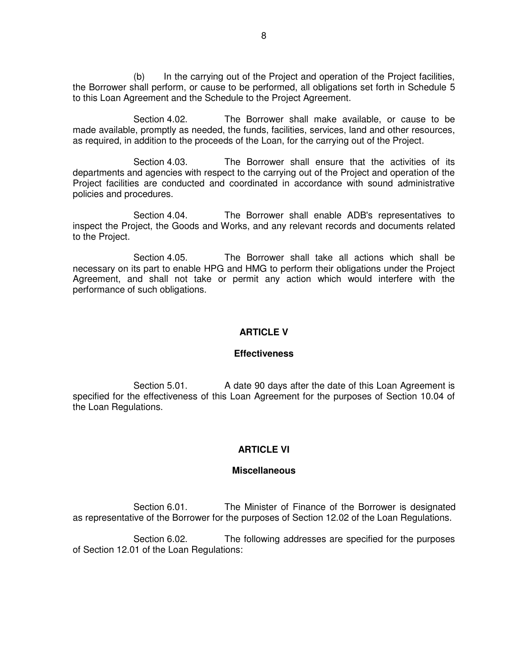(b) In the carrying out of the Project and operation of the Project facilities, the Borrower shall perform, or cause to be performed, all obligations set forth in Schedule 5 to this Loan Agreement and the Schedule to the Project Agreement.

 Section 4.02. The Borrower shall make available, or cause to be made available, promptly as needed, the funds, facilities, services, land and other resources, as required, in addition to the proceeds of the Loan, for the carrying out of the Project.

Section 4.03. The Borrower shall ensure that the activities of its departments and agencies with respect to the carrying out of the Project and operation of the Project facilities are conducted and coordinated in accordance with sound administrative policies and procedures.

 Section 4.04. The Borrower shall enable ADB's representatives to inspect the Project, the Goods and Works, and any relevant records and documents related to the Project.

 Section 4.05. The Borrower shall take all actions which shall be necessary on its part to enable HPG and HMG to perform their obligations under the Project Agreement, and shall not take or permit any action which would interfere with the performance of such obligations.

#### **ARTICLE V**

#### **Effectiveness**

Section 5.01. A date 90 days after the date of this Loan Agreement is specified for the effectiveness of this Loan Agreement for the purposes of Section 10.04 of the Loan Regulations.

## **ARTICLE VI**

#### **Miscellaneous**

 Section 6.01. The Minister of Finance of the Borrower is designated as representative of the Borrower for the purposes of Section 12.02 of the Loan Regulations.

 Section 6.02. The following addresses are specified for the purposes of Section 12.01 of the Loan Regulations: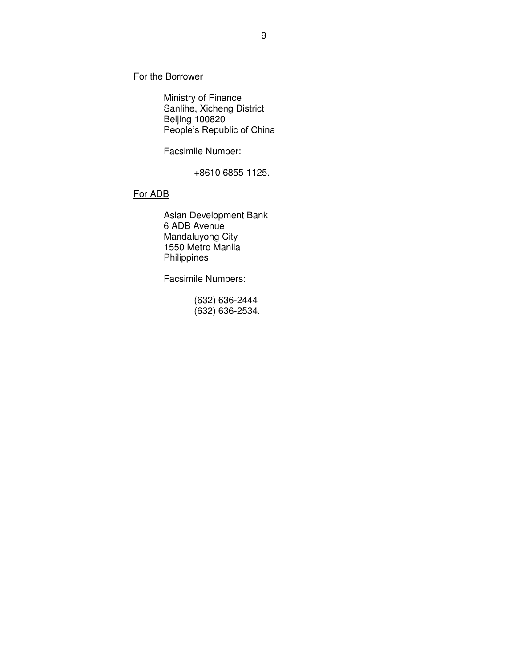For the Borrower

 Ministry of Finance Sanlihe, Xicheng District Beijing 100820 People's Republic of China

Facsimile Number:

+8610 6855-1125.

#### For ADB

 Asian Development Bank 6 ADB Avenue Mandaluyong City 1550 Metro Manila Philippines

Facsimile Numbers:

 (632) 636-2444 (632) 636-2534.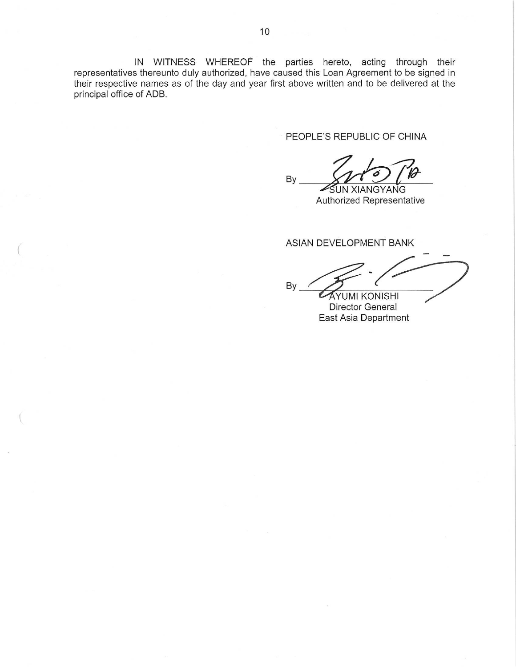IN WITNESS WHEREOF the parties hereto, acting through their representatives thereunto duly authorized, have caused this Loan Agreement to be signed in their respective names as of the day and year first above written and to be delivered at the principal office of ADB.

PEOPLE'S REPUBLIC OF CHINA

By SUN XIANGYANG

Authorized Representative

ASIAN DEVELOPMENT BANK

By **AYUMI KONISHI** 

Director General East Asia Department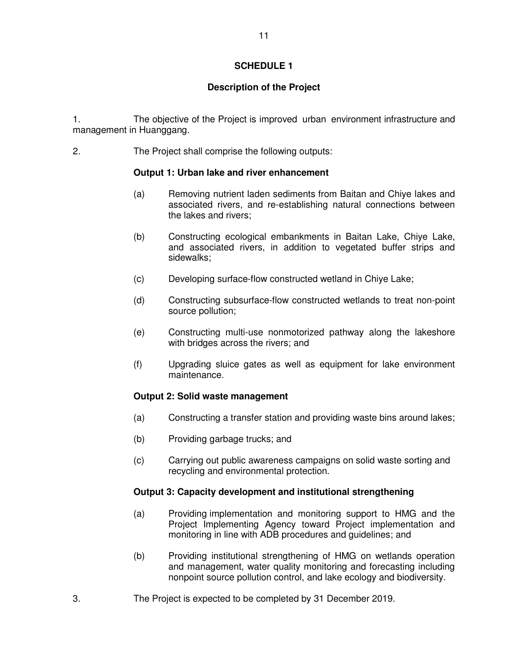## **Description of the Project**

1. The objective of the Project is improved urban environment infrastructure and management in Huanggang.

2. The Project shall comprise the following outputs:

## **Output 1: Urban lake and river enhancement**

- (a) Removing nutrient laden sediments from Baitan and Chiye lakes and associated rivers, and re-establishing natural connections between the lakes and rivers;
- (b) Constructing ecological embankments in Baitan Lake, Chiye Lake, and associated rivers, in addition to vegetated buffer strips and sidewalks;
- (c) Developing surface-flow constructed wetland in Chiye Lake;
- (d) Constructing subsurface-flow constructed wetlands to treat non-point source pollution;
- (e) Constructing multi-use nonmotorized pathway along the lakeshore with bridges across the rivers; and
- (f) Upgrading sluice gates as well as equipment for lake environment maintenance.

## **Output 2: Solid waste management**

- (a) Constructing a transfer station and providing waste bins around lakes;
- (b) Providing garbage trucks; and
- (c) Carrying out public awareness campaigns on solid waste sorting and recycling and environmental protection.

## **Output 3: Capacity development and institutional strengthening**

- (a) Providing implementation and monitoring support to HMG and the Project Implementing Agency toward Project implementation and monitoring in line with ADB procedures and guidelines; and
- (b) Providing institutional strengthening of HMG on wetlands operation and management, water quality monitoring and forecasting including nonpoint source pollution control, and lake ecology and biodiversity.
- 3. The Project is expected to be completed by 31 December 2019.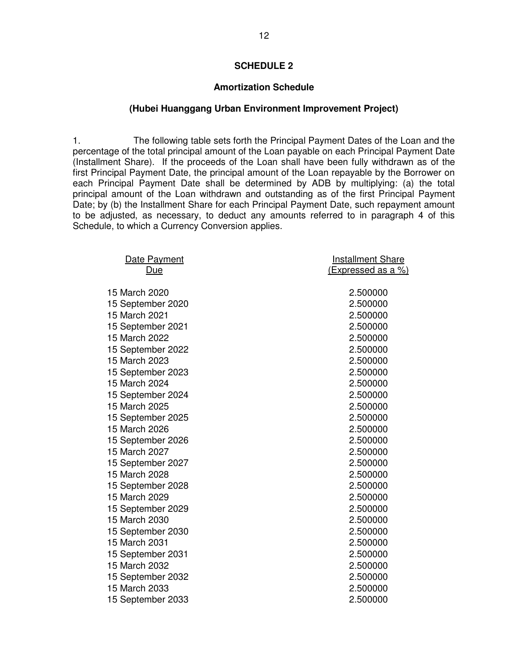#### **Amortization Schedule**

#### **(Hubei Huanggang Urban Environment Improvement Project)**

1. The following table sets forth the Principal Payment Dates of the Loan and the percentage of the total principal amount of the Loan payable on each Principal Payment Date (Installment Share). If the proceeds of the Loan shall have been fully withdrawn as of the first Principal Payment Date, the principal amount of the Loan repayable by the Borrower on each Principal Payment Date shall be determined by ADB by multiplying: (a) the total principal amount of the Loan withdrawn and outstanding as of the first Principal Payment Date; by (b) the Installment Share for each Principal Payment Date, such repayment amount to be adjusted, as necessary, to deduct any amounts referred to in paragraph 4 of this Schedule, to which a Currency Conversion applies.

| Date Payment      | <b>Installment Share</b>  |
|-------------------|---------------------------|
| Due               | <u>(Expressed as a %)</u> |
|                   |                           |
| 15 March 2020     | 2.500000                  |
| 15 September 2020 | 2.500000                  |
| 15 March 2021     | 2.500000                  |
| 15 September 2021 | 2.500000                  |
| 15 March 2022     | 2.500000                  |
| 15 September 2022 | 2.500000                  |
| 15 March 2023     | 2.500000                  |
| 15 September 2023 | 2.500000                  |
| 15 March 2024     | 2.500000                  |
| 15 September 2024 | 2.500000                  |
| 15 March 2025     | 2.500000                  |
| 15 September 2025 | 2.500000                  |
| 15 March 2026     | 2.500000                  |
| 15 September 2026 | 2.500000                  |
| 15 March 2027     | 2.500000                  |
| 15 September 2027 | 2.500000                  |
| 15 March 2028     | 2.500000                  |
| 15 September 2028 | 2.500000                  |
| 15 March 2029     | 2.500000                  |
| 15 September 2029 | 2.500000                  |
| 15 March 2030     | 2.500000                  |
| 15 September 2030 | 2.500000                  |
| 15 March 2031     | 2.500000                  |
| 15 September 2031 | 2.500000                  |
| 15 March 2032     | 2.500000                  |
| 15 September 2032 | 2.500000                  |
| 15 March 2033     | 2.500000                  |
| 15 September 2033 | 2.500000                  |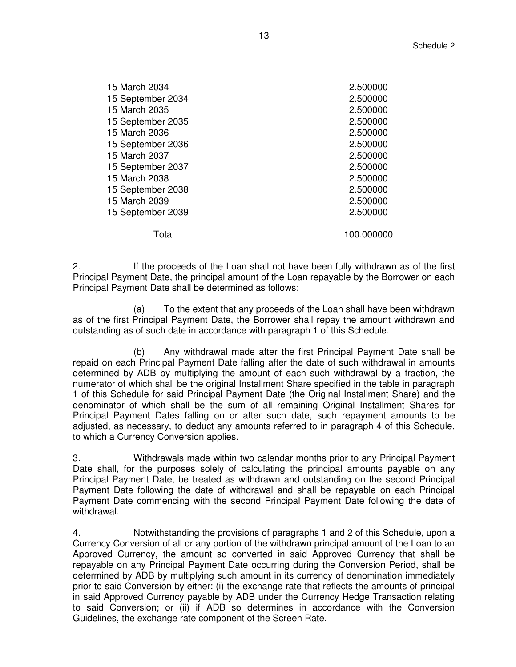| 15 March 2034     | 2.500000   |
|-------------------|------------|
| 15 September 2034 | 2.500000   |
| 15 March 2035     | 2.500000   |
| 15 September 2035 | 2.500000   |
| 15 March 2036     | 2.500000   |
| 15 September 2036 | 2.500000   |
| 15 March 2037     | 2.500000   |
| 15 September 2037 | 2.500000   |
| 15 March 2038     | 2.500000   |
| 15 September 2038 | 2.500000   |
| 15 March 2039     | 2.500000   |
| 15 September 2039 | 2.500000   |
| Total             | 100.000000 |

2. If the proceeds of the Loan shall not have been fully withdrawn as of the first Principal Payment Date, the principal amount of the Loan repayable by the Borrower on each Principal Payment Date shall be determined as follows:

(a) To the extent that any proceeds of the Loan shall have been withdrawn as of the first Principal Payment Date, the Borrower shall repay the amount withdrawn and outstanding as of such date in accordance with paragraph 1 of this Schedule.

(b) Any withdrawal made after the first Principal Payment Date shall be repaid on each Principal Payment Date falling after the date of such withdrawal in amounts determined by ADB by multiplying the amount of each such withdrawal by a fraction, the numerator of which shall be the original Installment Share specified in the table in paragraph 1 of this Schedule for said Principal Payment Date (the Original Installment Share) and the denominator of which shall be the sum of all remaining Original Installment Shares for Principal Payment Dates falling on or after such date, such repayment amounts to be adjusted, as necessary, to deduct any amounts referred to in paragraph 4 of this Schedule, to which a Currency Conversion applies.

3. Withdrawals made within two calendar months prior to any Principal Payment Date shall, for the purposes solely of calculating the principal amounts payable on any Principal Payment Date, be treated as withdrawn and outstanding on the second Principal Payment Date following the date of withdrawal and shall be repayable on each Principal Payment Date commencing with the second Principal Payment Date following the date of withdrawal.

4. Notwithstanding the provisions of paragraphs 1 and 2 of this Schedule, upon a Currency Conversion of all or any portion of the withdrawn principal amount of the Loan to an Approved Currency, the amount so converted in said Approved Currency that shall be repayable on any Principal Payment Date occurring during the Conversion Period, shall be determined by ADB by multiplying such amount in its currency of denomination immediately prior to said Conversion by either: (i) the exchange rate that reflects the amounts of principal in said Approved Currency payable by ADB under the Currency Hedge Transaction relating to said Conversion; or (ii) if ADB so determines in accordance with the Conversion Guidelines, the exchange rate component of the Screen Rate.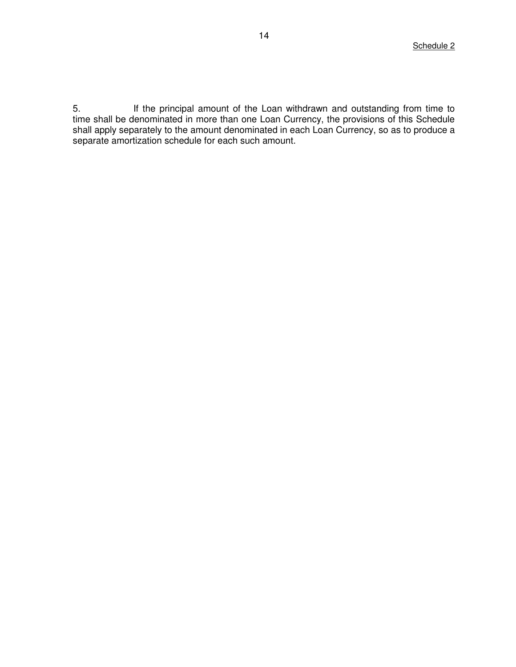5. If the principal amount of the Loan withdrawn and outstanding from time to time shall be denominated in more than one Loan Currency, the provisions of this Schedule shall apply separately to the amount denominated in each Loan Currency, so as to produce a separate amortization schedule for each such amount.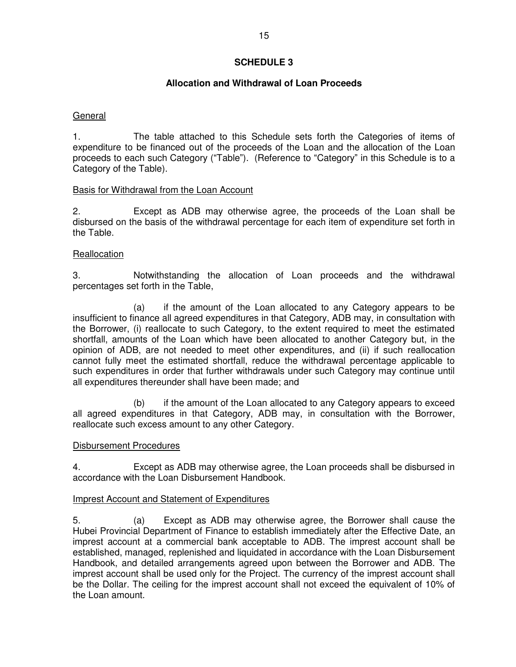## **Allocation and Withdrawal of Loan Proceeds**

## General

1. The table attached to this Schedule sets forth the Categories of items of expenditure to be financed out of the proceeds of the Loan and the allocation of the Loan proceeds to each such Category ("Table"). (Reference to "Category" in this Schedule is to a Category of the Table).

#### Basis for Withdrawal from the Loan Account

2. Except as ADB may otherwise agree, the proceeds of the Loan shall be disbursed on the basis of the withdrawal percentage for each item of expenditure set forth in the Table.

#### **Reallocation**

3. Notwithstanding the allocation of Loan proceeds and the withdrawal percentages set forth in the Table,

 (a) if the amount of the Loan allocated to any Category appears to be insufficient to finance all agreed expenditures in that Category, ADB may, in consultation with the Borrower, (i) reallocate to such Category, to the extent required to meet the estimated shortfall, amounts of the Loan which have been allocated to another Category but, in the opinion of ADB, are not needed to meet other expenditures, and (ii) if such reallocation cannot fully meet the estimated shortfall, reduce the withdrawal percentage applicable to such expenditures in order that further withdrawals under such Category may continue until all expenditures thereunder shall have been made; and

 (b) if the amount of the Loan allocated to any Category appears to exceed all agreed expenditures in that Category, ADB may, in consultation with the Borrower, reallocate such excess amount to any other Category.

#### Disbursement Procedures

4. Except as ADB may otherwise agree, the Loan proceeds shall be disbursed in accordance with the Loan Disbursement Handbook.

## Imprest Account and Statement of Expenditures

5. (a) Except as ADB may otherwise agree, the Borrower shall cause the Hubei Provincial Department of Finance to establish immediately after the Effective Date, an imprest account at a commercial bank acceptable to ADB. The imprest account shall be established, managed, replenished and liquidated in accordance with the Loan Disbursement Handbook, and detailed arrangements agreed upon between the Borrower and ADB. The imprest account shall be used only for the Project. The currency of the imprest account shall be the Dollar. The ceiling for the imprest account shall not exceed the equivalent of 10% of the Loan amount.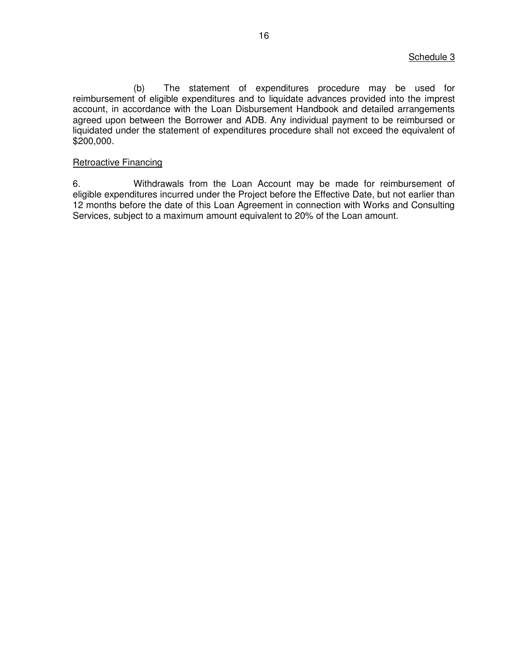(b) The statement of expenditures procedure may be used for reimbursement of eligible expenditures and to liquidate advances provided into the imprest account, in accordance with the Loan Disbursement Handbook and detailed arrangements agreed upon between the Borrower and ADB. Any individual payment to be reimbursed or liquidated under the statement of expenditures procedure shall not exceed the equivalent of \$200,000.

#### Retroactive Financing

6. Withdrawals from the Loan Account may be made for reimbursement of eligible expenditures incurred under the Project before the Effective Date, but not earlier than 12 months before the date of this Loan Agreement in connection with Works and Consulting Services, subject to a maximum amount equivalent to 20% of the Loan amount.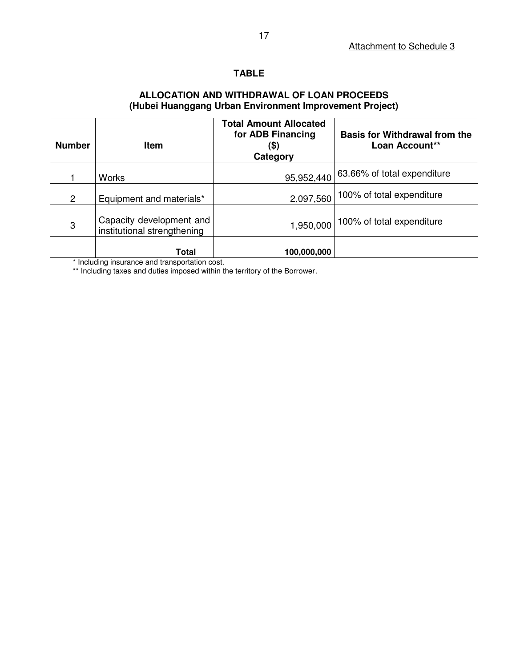# **TABLE**

# **ALLOCATION AND WITHDRAWAL OF LOAN PROCEEDS (Hubei Huanggang Urban Environment Improvement Project)**

| <b>Number</b>  | <b>Item</b>                                             | <b>Total Amount Allocated</b><br>for ADB Financing<br>(\$)<br>Category | <b>Basis for Withdrawal from the</b><br>Loan Account** |
|----------------|---------------------------------------------------------|------------------------------------------------------------------------|--------------------------------------------------------|
|                | <b>Works</b>                                            | 95,952,440                                                             | 63.66% of total expenditure                            |
| $\overline{2}$ | Equipment and materials*                                | 2,097,560                                                              | 100% of total expenditure                              |
| 3              | Capacity development and<br>institutional strengthening | 1,950,000                                                              | 100% of total expenditure                              |
|                | Total                                                   | 100,000,000                                                            |                                                        |

\* Including insurance and transportation cost.

\*\* Including taxes and duties imposed within the territory of the Borrower.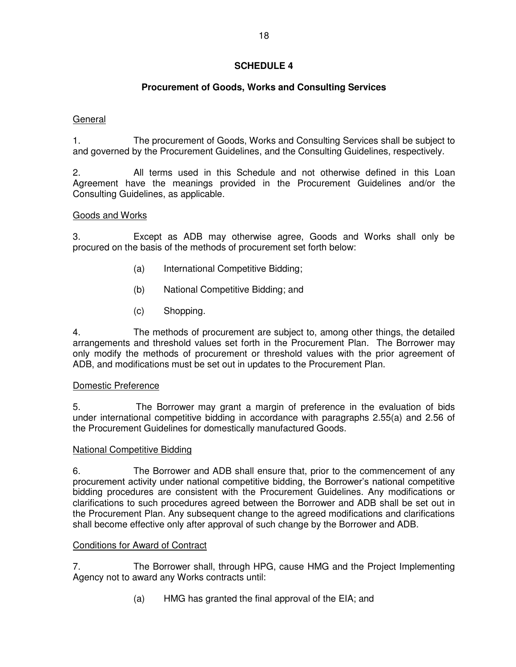# **Procurement of Goods, Works and Consulting Services**

# General

1. The procurement of Goods, Works and Consulting Services shall be subject to and governed by the Procurement Guidelines, and the Consulting Guidelines, respectively.

2. All terms used in this Schedule and not otherwise defined in this Loan Agreement have the meanings provided in the Procurement Guidelines and/or the Consulting Guidelines, as applicable.

# Goods and Works

3. Except as ADB may otherwise agree, Goods and Works shall only be procured on the basis of the methods of procurement set forth below:

- (a) International Competitive Bidding;
- (b) National Competitive Bidding; and
- (c) Shopping.

4. The methods of procurement are subject to, among other things, the detailed arrangements and threshold values set forth in the Procurement Plan. The Borrower may only modify the methods of procurement or threshold values with the prior agreement of ADB, and modifications must be set out in updates to the Procurement Plan.

# Domestic Preference

5. The Borrower may grant a margin of preference in the evaluation of bids under international competitive bidding in accordance with paragraphs 2.55(a) and 2.56 of the Procurement Guidelines for domestically manufactured Goods.

## National Competitive Bidding

6. The Borrower and ADB shall ensure that, prior to the commencement of any procurement activity under national competitive bidding, the Borrower's national competitive bidding procedures are consistent with the Procurement Guidelines. Any modifications or clarifications to such procedures agreed between the Borrower and ADB shall be set out in the Procurement Plan. Any subsequent change to the agreed modifications and clarifications shall become effective only after approval of such change by the Borrower and ADB.

# Conditions for Award of Contract

7. The Borrower shall, through HPG, cause HMG and the Project Implementing Agency not to award any Works contracts until:

(a) HMG has granted the final approval of the EIA; and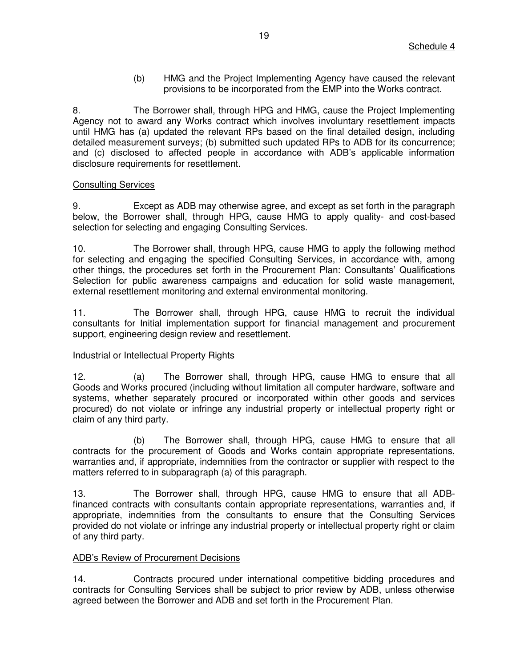(b) HMG and the Project Implementing Agency have caused the relevant provisions to be incorporated from the EMP into the Works contract.

8. The Borrower shall, through HPG and HMG, cause the Project Implementing Agency not to award any Works contract which involves involuntary resettlement impacts until HMG has (a) updated the relevant RPs based on the final detailed design, including detailed measurement surveys; (b) submitted such updated RPs to ADB for its concurrence; and (c) disclosed to affected people in accordance with ADB's applicable information disclosure requirements for resettlement.

## Consulting Services

9. Except as ADB may otherwise agree, and except as set forth in the paragraph below, the Borrower shall, through HPG, cause HMG to apply quality- and cost-based selection for selecting and engaging Consulting Services.

10. The Borrower shall, through HPG, cause HMG to apply the following method for selecting and engaging the specified Consulting Services, in accordance with, among other things, the procedures set forth in the Procurement Plan: Consultants' Qualifications Selection for public awareness campaigns and education for solid waste management, external resettlement monitoring and external environmental monitoring.

11. The Borrower shall, through HPG, cause HMG to recruit the individual consultants for Initial implementation support for financial management and procurement support, engineering design review and resettlement.

# Industrial or Intellectual Property Rights

12. (a) The Borrower shall, through HPG, cause HMG to ensure that all Goods and Works procured (including without limitation all computer hardware, software and systems, whether separately procured or incorporated within other goods and services procured) do not violate or infringe any industrial property or intellectual property right or claim of any third party.

 (b) The Borrower shall, through HPG, cause HMG to ensure that all contracts for the procurement of Goods and Works contain appropriate representations, warranties and, if appropriate, indemnities from the contractor or supplier with respect to the matters referred to in subparagraph (a) of this paragraph.

13. The Borrower shall, through HPG, cause HMG to ensure that all ADBfinanced contracts with consultants contain appropriate representations, warranties and, if appropriate, indemnities from the consultants to ensure that the Consulting Services provided do not violate or infringe any industrial property or intellectual property right or claim of any third party.

## ADB's Review of Procurement Decisions

14. Contracts procured under international competitive bidding procedures and contracts for Consulting Services shall be subject to prior review by ADB, unless otherwise agreed between the Borrower and ADB and set forth in the Procurement Plan.